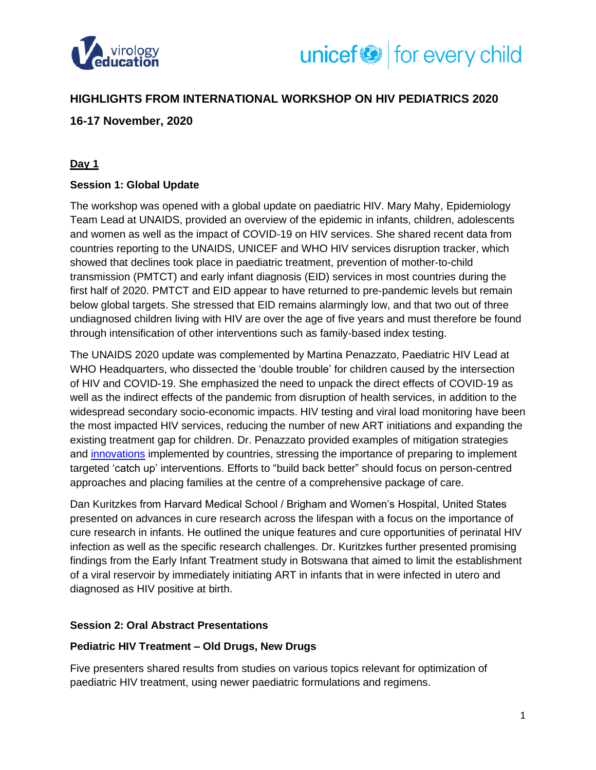



## **HIGHLIGHTS FROM INTERNATIONAL WORKSHOP ON HIV PEDIATRICS 2020**

## **16-17 November, 2020**

## **Day 1**

### **Session 1: Global Update**

The workshop was opened with a global update on paediatric HIV. Mary Mahy, Epidemiology Team Lead at UNAIDS, provided an overview of the epidemic in infants, children, adolescents and women as well as the impact of COVID-19 on HIV services. She shared recent data from countries reporting to the UNAIDS, UNICEF and WHO HIV services disruption tracker, which showed that declines took place in paediatric treatment, prevention of mother-to-child transmission (PMTCT) and early infant diagnosis (EID) services in most countries during the first half of 2020. PMTCT and EID appear to have returned to pre-pandemic levels but remain below global targets. She stressed that EID remains alarmingly low, and that two out of three undiagnosed children living with HIV are over the age of five years and must therefore be found through intensification of other interventions such as family-based index testing.

The UNAIDS 2020 update was complemented by Martina Penazzato, Paediatric HIV Lead at WHO Headquarters, who dissected the 'double trouble' for children caused by the intersection of HIV and COVID-19. She emphasized the need to unpack the direct effects of COVID-19 as well as the indirect effects of the pandemic from disruption of health services, in addition to the widespread secondary socio-economic impacts. HIV testing and viral load monitoring have been the most impacted HIV services, reducing the number of new ART initiations and expanding the existing treatment gap for children. Dr. Penazzato provided examples of mitigation strategies and [innovations](http://www.childrenandaids.org/covid19/esa/programming-compendium) implemented by countries, stressing the importance of preparing to implement targeted 'catch up' interventions. Efforts to "build back better" should focus on person-centred approaches and placing families at the centre of a comprehensive package of care.

Dan Kuritzkes from Harvard Medical School / Brigham and Women's Hospital, United States presented on advances in cure research across the lifespan with a focus on the importance of cure research in infants. He outlined the unique features and cure opportunities of perinatal HIV infection as well as the specific research challenges. Dr. Kuritzkes further presented promising findings from the Early Infant Treatment study in Botswana that aimed to limit the establishment of a viral reservoir by immediately initiating ART in infants that in were infected in utero and diagnosed as HIV positive at birth.

#### **Session 2: Oral Abstract Presentations**

#### **Pediatric HIV Treatment – Old Drugs, New Drugs**

Five presenters shared results from studies on various topics relevant for optimization of paediatric HIV treatment, using newer paediatric formulations and regimens.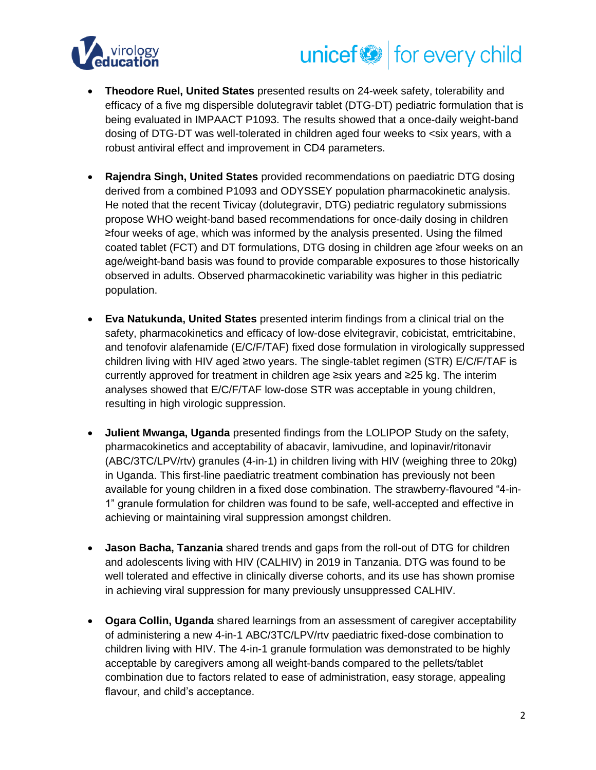

# unicef<sup>®</sup> for every child

- **Theodore Ruel, United States** presented results on 24-week safety, tolerability and efficacy of a five mg dispersible dolutegravir tablet (DTG-DT) pediatric formulation that is being evaluated in IMPAACT P1093. The results showed that a once-daily weight-band dosing of DTG-DT was well-tolerated in children aged four weeks to <six years, with a robust antiviral effect and improvement in CD4 parameters.
- **Rajendra Singh, United States** provided recommendations on paediatric DTG dosing derived from a combined P1093 and ODYSSEY population pharmacokinetic analysis. He noted that the recent Tivicay (dolutegravir, DTG) pediatric regulatory submissions propose WHO weight-band based recommendations for once-daily dosing in children ≥four weeks of age, which was informed by the analysis presented. Using the filmed coated tablet (FCT) and DT formulations, DTG dosing in children age ≥four weeks on an age/weight-band basis was found to provide comparable exposures to those historically observed in adults. Observed pharmacokinetic variability was higher in this pediatric population.
- **Eva Natukunda, United States** presented interim findings from a clinical trial on the safety, pharmacokinetics and efficacy of low-dose elvitegravir, cobicistat, emtricitabine, and tenofovir alafenamide (E/C/F/TAF) fixed dose formulation in virologically suppressed children living with HIV aged ≥two years. The single-tablet regimen (STR) E/C/F/TAF is currently approved for treatment in children age ≥six years and ≥25 kg. The interim analyses showed that E/C/F/TAF low-dose STR was acceptable in young children, resulting in high virologic suppression.
- **Julient Mwanga, Uganda** presented findings from the LOLIPOP Study on the safety, pharmacokinetics and acceptability of abacavir, lamivudine, and lopinavir/ritonavir (ABC/3TC/LPV/rtv) granules (4-in-1) in children living with HIV (weighing three to 20kg) in Uganda. This first-line paediatric treatment combination has previously not been available for young children in a fixed dose combination. The strawberry-flavoured "4-in-1" granule formulation for children was found to be safe, well-accepted and effective in achieving or maintaining viral suppression amongst children.
- **Jason Bacha, Tanzania** shared trends and gaps from the roll-out of DTG for children and adolescents living with HIV (CALHIV) in 2019 in Tanzania. DTG was found to be well tolerated and effective in clinically diverse cohorts, and its use has shown promise in achieving viral suppression for many previously unsuppressed CALHIV.
- **Ogara Collin, Uganda** shared learnings from an assessment of caregiver acceptability of administering a new 4-in-1 ABC/3TC/LPV/rtv paediatric fixed-dose combination to children living with HIV. The 4-in-1 granule formulation was demonstrated to be highly acceptable by caregivers among all weight-bands compared to the pellets/tablet combination due to factors related to ease of administration, easy storage, appealing flavour, and child's acceptance.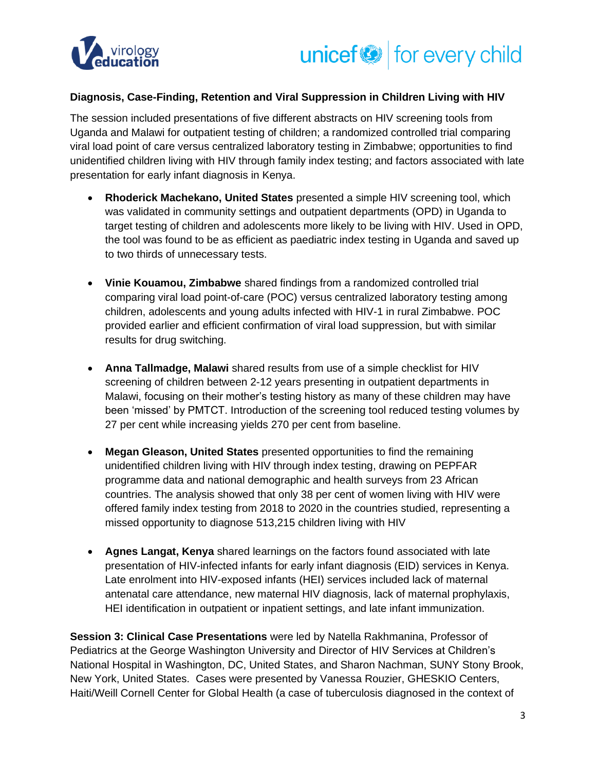



#### **Diagnosis, Case-Finding, Retention and Viral Suppression in Children Living with HIV**

The session included presentations of five different abstracts on HIV screening tools from Uganda and Malawi for outpatient testing of children; a randomized controlled trial comparing viral load point of care versus centralized laboratory testing in Zimbabwe; opportunities to find unidentified children living with HIV through family index testing; and factors associated with late presentation for early infant diagnosis in Kenya.

- **Rhoderick Machekano, United States** presented a simple HIV screening tool, which was validated in community settings and outpatient departments (OPD) in Uganda to target testing of children and adolescents more likely to be living with HIV. Used in OPD, the tool was found to be as efficient as paediatric index testing in Uganda and saved up to two thirds of unnecessary tests.
- **Vinie Kouamou, Zimbabwe** shared findings from a randomized controlled trial comparing viral load point-of-care (POC) versus centralized laboratory testing among children, adolescents and young adults infected with HIV-1 in rural Zimbabwe. POC provided earlier and efficient confirmation of viral load suppression, but with similar results for drug switching.
- **Anna Tallmadge, Malawi** shared results from use of a simple checklist for HIV screening of children between 2-12 years presenting in outpatient departments in Malawi, focusing on their mother's testing history as many of these children may have been 'missed' by PMTCT. Introduction of the screening tool reduced testing volumes by 27 per cent while increasing yields 270 per cent from baseline.
- **Megan Gleason, United States** presented opportunities to find the remaining unidentified children living with HIV through index testing, drawing on PEPFAR programme data and national demographic and health surveys from 23 African countries. The analysis showed that only 38 per cent of women living with HIV were offered family index testing from 2018 to 2020 in the countries studied, representing a missed opportunity to diagnose 513,215 children living with HIV
- **Agnes Langat, Kenya** shared learnings on the factors found associated with late presentation of HIV-infected infants for early infant diagnosis (EID) services in Kenya. Late enrolment into HIV-exposed infants (HEI) services included lack of maternal antenatal care attendance, new maternal HIV diagnosis, lack of maternal prophylaxis, HEI identification in outpatient or inpatient settings, and late infant immunization.

**Session 3: Clinical Case Presentations** were led by Natella Rakhmanina, Professor of Pediatrics at the George Washington University and Director of HIV Services at Children's National Hospital in Washington, DC, United States, and Sharon Nachman, SUNY Stony Brook, New York, United States. Cases were presented by Vanessa Rouzier, GHESKIO Centers, Haiti/Weill Cornell Center for Global Health (a case of tuberculosis diagnosed in the context of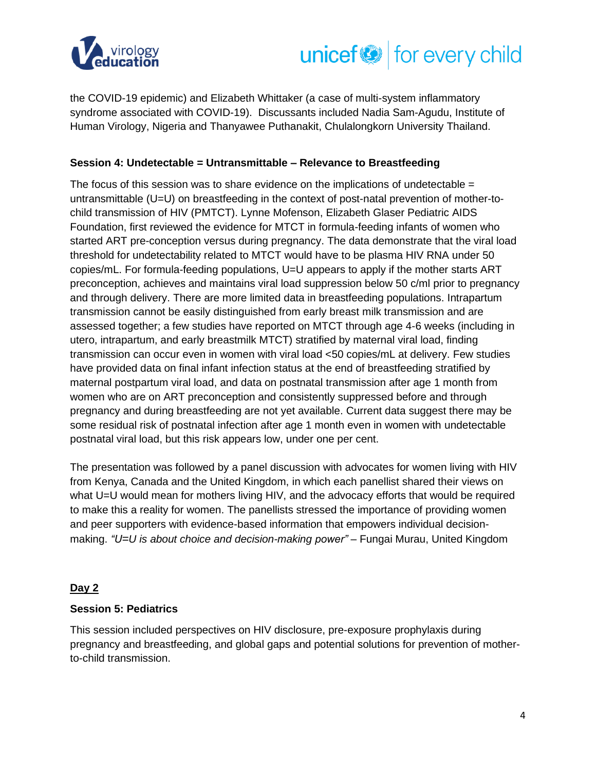



the COVID-19 epidemic) and Elizabeth Whittaker (a case of multi-system inflammatory syndrome associated with COVID-19). Discussants included Nadia Sam-Agudu, Institute of Human Virology, Nigeria and Thanyawee Puthanakit, Chulalongkorn University Thailand.

## **Session 4: Undetectable = Untransmittable – Relevance to Breastfeeding**

The focus of this session was to share evidence on the implications of undetectable  $=$ untransmittable (U=U) on breastfeeding in the context of post-natal prevention of mother-tochild transmission of HIV (PMTCT). Lynne Mofenson, Elizabeth Glaser Pediatric AIDS Foundation, first reviewed the evidence for MTCT in formula-feeding infants of women who started ART pre-conception versus during pregnancy. The data demonstrate that the viral load threshold for undetectability related to MTCT would have to be plasma HIV RNA under 50 copies/mL. For formula-feeding populations, U=U appears to apply if the mother starts ART preconception, achieves and maintains viral load suppression below 50 c/ml prior to pregnancy and through delivery. There are more limited data in breastfeeding populations. Intrapartum transmission cannot be easily distinguished from early breast milk transmission and are assessed together; a few studies have reported on MTCT through age 4-6 weeks (including in utero, intrapartum, and early breastmilk MTCT) stratified by maternal viral load, finding transmission can occur even in women with viral load <50 copies/mL at delivery. Few studies have provided data on final infant infection status at the end of breastfeeding stratified by maternal postpartum viral load, and data on postnatal transmission after age 1 month from women who are on ART preconception and consistently suppressed before and through pregnancy and during breastfeeding are not yet available. Current data suggest there may be some residual risk of postnatal infection after age 1 month even in women with undetectable postnatal viral load, but this risk appears low, under one per cent.

The presentation was followed by a panel discussion with advocates for women living with HIV from Kenya, Canada and the United Kingdom, in which each panellist shared their views on what U=U would mean for mothers living HIV, and the advocacy efforts that would be required to make this a reality for women. The panellists stressed the importance of providing women and peer supporters with evidence-based information that empowers individual decisionmaking. *"U=U is about choice and decision-making power"* – Fungai Murau, United Kingdom

#### **Day 2**

#### **Session 5: Pediatrics**

This session included perspectives on HIV disclosure, pre-exposure prophylaxis during pregnancy and breastfeeding, and global gaps and potential solutions for prevention of motherto-child transmission.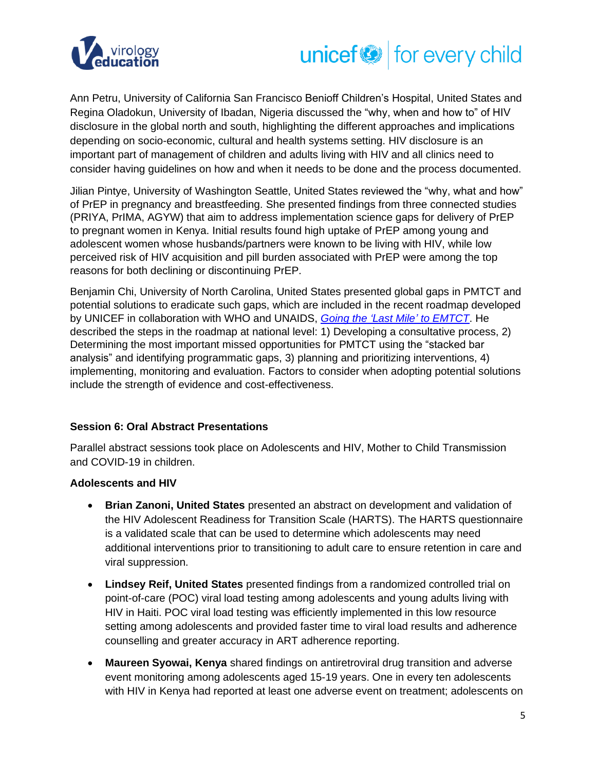

# unicef<sup>®</sup> for every child

Ann Petru, University of California San Francisco Benioff Children's Hospital, United States and Regina Oladokun, University of Ibadan, Nigeria discussed the "why, when and how to" of HIV disclosure in the global north and south, highlighting the different approaches and implications depending on socio-economic, cultural and health systems setting. HIV disclosure is an important part of management of children and adults living with HIV and all clinics need to consider having guidelines on how and when it needs to be done and the process documented.

Jilian Pintye, University of Washington Seattle, United States reviewed the "why, what and how" of PrEP in pregnancy and breastfeeding. She presented findings from three connected studies (PRIYA, PrIMA, AGYW) that aim to address implementation science gaps for delivery of PrEP to pregnant women in Kenya. Initial results found high uptake of PrEP among young and adolescent women whose husbands/partners were known to be living with HIV, while low perceived risk of HIV acquisition and pill burden associated with PrEP were among the top reasons for both declining or discontinuing PrEP.

Benjamin Chi, University of North Carolina, United States presented global gaps in PMTCT and potential solutions to eradicate such gaps, which are included in the recent roadmap developed by UNICEF in collaboration with WHO and UNAIDS, *[Going the 'Last Mile'](http://childrenandaids.org/Last-Mile-to-EMTCT) to EMTCT*. He described the steps in the roadmap at national level: 1) Developing a consultative process, 2) Determining the most important missed opportunities for PMTCT using the "stacked bar analysis" and identifying programmatic gaps, 3) planning and prioritizing interventions, 4) implementing, monitoring and evaluation. Factors to consider when adopting potential solutions include the strength of evidence and cost-effectiveness.

#### **Session 6: Oral Abstract Presentations**

Parallel abstract sessions took place on Adolescents and HIV, Mother to Child Transmission and COVID-19 in children.

## **Adolescents and HIV**

- **Brian Zanoni, United States** presented an abstract on development and validation of the HIV Adolescent Readiness for Transition Scale (HARTS). The HARTS questionnaire is a validated scale that can be used to determine which adolescents may need additional interventions prior to transitioning to adult care to ensure retention in care and viral suppression.
- **Lindsey Reif, United States** presented findings from a randomized controlled trial on point-of-care (POC) viral load testing among adolescents and young adults living with HIV in Haiti. POC viral load testing was efficiently implemented in this low resource setting among adolescents and provided faster time to viral load results and adherence counselling and greater accuracy in ART adherence reporting.
- **Maureen Syowai, Kenya** shared findings on antiretroviral drug transition and adverse event monitoring among adolescents aged 15-19 years. One in every ten adolescents with HIV in Kenya had reported at least one adverse event on treatment; adolescents on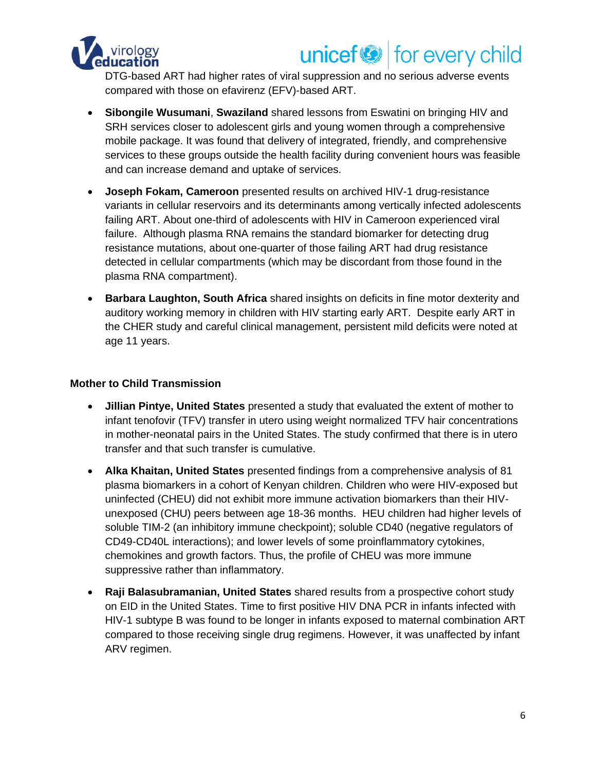

## unicef<sup>(2)</sup> for every child

DTG-based ART had higher rates of viral suppression and no serious adverse events compared with those on efavirenz (EFV)-based ART.

- **Sibongile Wusumani**, **Swaziland** shared lessons from Eswatini on bringing HIV and SRH services closer to adolescent girls and young women through a comprehensive mobile package. It was found that delivery of integrated, friendly, and comprehensive services to these groups outside the health facility during convenient hours was feasible and can increase demand and uptake of services.
- **Joseph Fokam, Cameroon** presented results on archived HIV-1 drug-resistance variants in cellular reservoirs and its determinants among vertically infected adolescents failing ART. About one-third of adolescents with HIV in Cameroon experienced viral failure. Although plasma RNA remains the standard biomarker for detecting drug resistance mutations, about one-quarter of those failing ART had drug resistance detected in cellular compartments (which may be discordant from those found in the plasma RNA compartment).
- **Barbara Laughton, South Africa** shared insights on deficits in fine motor dexterity and auditory working memory in children with HIV starting early ART. Despite early ART in the CHER study and careful clinical management, persistent mild deficits were noted at age 11 years.

## **Mother to Child Transmission**

- **Jillian Pintye, United States** presented a study that evaluated the extent of mother to infant tenofovir (TFV) transfer in utero using weight normalized TFV hair concentrations in mother-neonatal pairs in the United States. The study confirmed that there is in utero transfer and that such transfer is cumulative.
- **Alka Khaitan, United States** presented findings from a comprehensive analysis of 81 plasma biomarkers in a cohort of Kenyan children. Children who were HIV-exposed but uninfected (CHEU) did not exhibit more immune activation biomarkers than their HIVunexposed (CHU) peers between age 18-36 months. HEU children had higher levels of soluble TIM-2 (an inhibitory immune checkpoint); soluble CD40 (negative regulators of CD49-CD40L interactions); and lower levels of some proinflammatory cytokines, chemokines and growth factors. Thus, the profile of CHEU was more immune suppressive rather than inflammatory.
- **Raji Balasubramanian, United States** shared results from a prospective cohort study on EID in the United States. Time to first positive HIV DNA PCR in infants infected with HIV-1 subtype B was found to be longer in infants exposed to maternal combination ART compared to those receiving single drug regimens. However, it was unaffected by infant ARV regimen.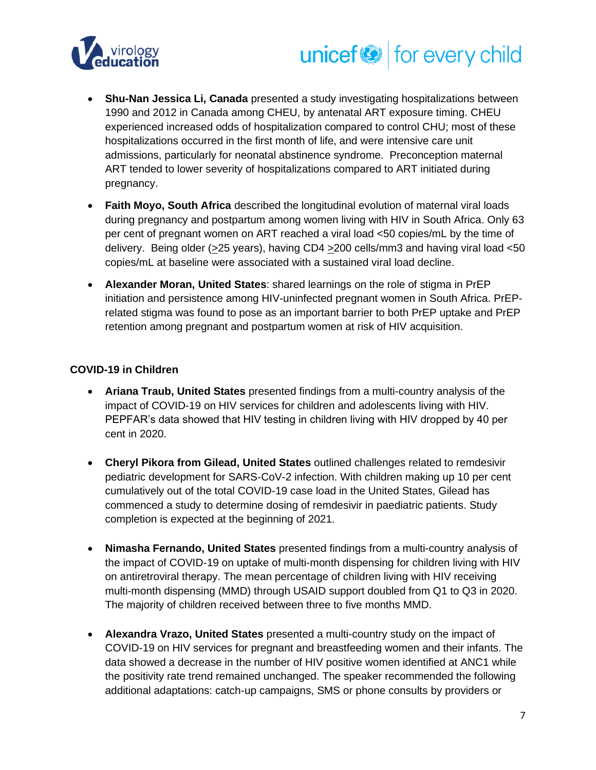



- **Shu-Nan Jessica Li, Canada** presented a study investigating hospitalizations between 1990 and 2012 in Canada among CHEU, by antenatal ART exposure timing. CHEU experienced increased odds of hospitalization compared to control CHU; most of these hospitalizations occurred in the first month of life, and were intensive care unit admissions, particularly for neonatal abstinence syndrome. Preconception maternal ART tended to lower severity of hospitalizations compared to ART initiated during pregnancy.
- **Faith Moyo, South Africa** described the longitudinal evolution of maternal viral loads during pregnancy and postpartum among women living with HIV in South Africa. Only 63 per cent of pregnant women on ART reached a viral load <50 copies/mL by the time of delivery. Being older (>25 years), having CD4 >200 cells/mm3 and having viral load <50 copies/mL at baseline were associated with a sustained viral load decline.
- **Alexander Moran, United States**: shared learnings on the role of stigma in PrEP initiation and persistence among HIV-uninfected pregnant women in South Africa. PrEPrelated stigma was found to pose as an important barrier to both PrEP uptake and PrEP retention among pregnant and postpartum women at risk of HIV acquisition.

### **COVID-19 in Children**

- **Ariana Traub, United States** presented findings from a multi-country analysis of the impact of COVID-19 on HIV services for children and adolescents living with HIV. PEPFAR's data showed that HIV testing in children living with HIV dropped by 40 per cent in 2020.
- **Cheryl Pikora from Gilead, United States** outlined challenges related to remdesivir pediatric development for SARS-CoV-2 infection. With children making up 10 per cent cumulatively out of the total COVID-19 case load in the United States, Gilead has commenced a study to determine dosing of remdesivir in paediatric patients. Study completion is expected at the beginning of 2021.
- **Nimasha Fernando, United States** presented findings from a multi-country analysis of the impact of COVID-19 on uptake of multi-month dispensing for children living with HIV on antiretroviral therapy. The mean percentage of children living with HIV receiving multi-month dispensing (MMD) through USAID support doubled from Q1 to Q3 in 2020. The majority of children received between three to five months MMD.
- **Alexandra Vrazo, United States** presented a multi-country study on the impact of COVID-19 on HIV services for pregnant and breastfeeding women and their infants. The data showed a decrease in the number of HIV positive women identified at ANC1 while the positivity rate trend remained unchanged. The speaker recommended the following additional adaptations: catch-up campaigns, SMS or phone consults by providers or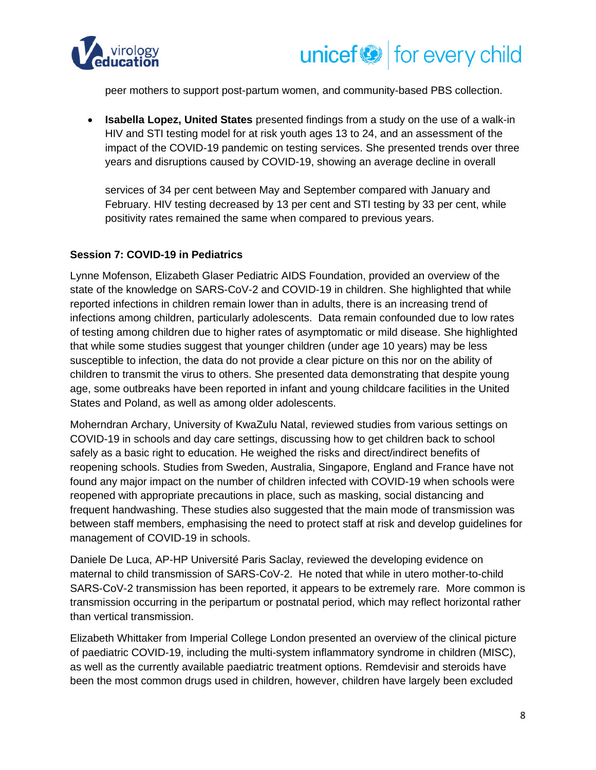



peer mothers to support post-partum women, and community-based PBS collection.

• **Isabella Lopez, United States** presented findings from a study on the use of a walk-in HIV and STI testing model for at risk youth ages 13 to 24, and an assessment of the impact of the COVID-19 pandemic on testing services. She presented trends over three years and disruptions caused by COVID-19, showing an average decline in overall

services of 34 per cent between May and September compared with January and February. HIV testing decreased by 13 per cent and STI testing by 33 per cent, while positivity rates remained the same when compared to previous years.

#### **Session 7: COVID-19 in Pediatrics**

Lynne Mofenson, Elizabeth Glaser Pediatric AIDS Foundation, provided an overview of the state of the knowledge on SARS-CoV-2 and COVID-19 in children. She highlighted that while reported infections in children remain lower than in adults, there is an increasing trend of infections among children, particularly adolescents. Data remain confounded due to low rates of testing among children due to higher rates of asymptomatic or mild disease. She highlighted that while some studies suggest that younger children (under age 10 years) may be less susceptible to infection, the data do not provide a clear picture on this nor on the ability of children to transmit the virus to others. She presented data demonstrating that despite young age, some outbreaks have been reported in infant and young childcare facilities in the United States and Poland, as well as among older adolescents.

Moherndran Archary, University of KwaZulu Natal, reviewed studies from various settings on COVID-19 in schools and day care settings, discussing how to get children back to school safely as a basic right to education. He weighed the risks and direct/indirect benefits of reopening schools. Studies from Sweden, Australia, Singapore, England and France have not found any major impact on the number of children infected with COVID-19 when schools were reopened with appropriate precautions in place, such as masking, social distancing and frequent handwashing. These studies also suggested that the main mode of transmission was between staff members, emphasising the need to protect staff at risk and develop guidelines for management of COVID-19 in schools.

Daniele De Luca, AP-HP Université Paris Saclay, reviewed the developing evidence on maternal to child transmission of SARS-CoV-2. He noted that while in utero mother-to-child SARS-CoV-2 transmission has been reported, it appears to be extremely rare. More common is transmission occurring in the peripartum or postnatal period, which may reflect horizontal rather than vertical transmission.

Elizabeth Whittaker from Imperial College London presented an overview of the clinical picture of paediatric COVID-19, including the multi-system inflammatory syndrome in children (MISC), as well as the currently available paediatric treatment options. Remdevisir and steroids have been the most common drugs used in children, however, children have largely been excluded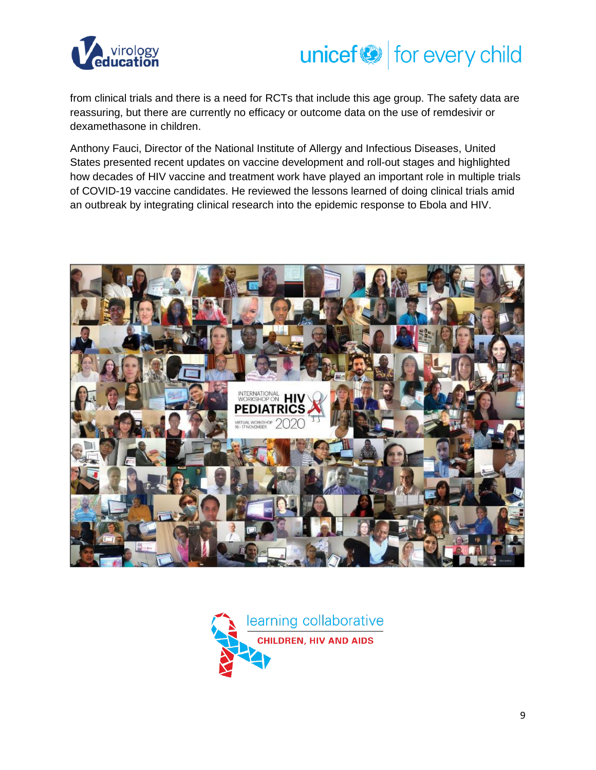



from clinical trials and there is a need for RCTs that include this age group. The safety data are reassuring, but there are currently no efficacy or outcome data on the use of remdesivir or dexamethasone in children.

Anthony Fauci, Director of the National Institute of Allergy and Infectious Diseases, United States presented recent updates on vaccine development and roll-out stages and highlighted how decades of HIV vaccine and treatment work have played an important role in multiple trials of COVID-19 vaccine candidates. He reviewed the lessons learned of doing clinical trials amid an outbreak by integrating clinical research into the epidemic response to Ebola and HIV.